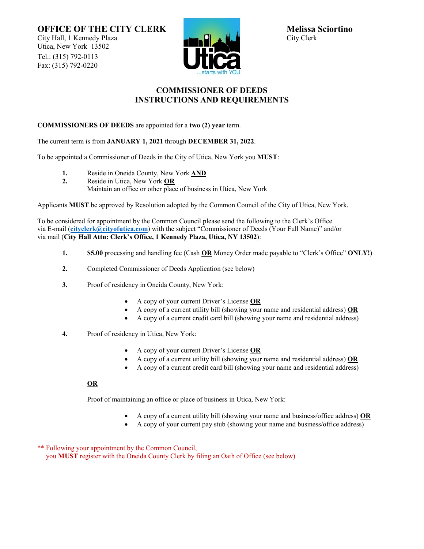**OFFICE OF THE CITY CLERK** Melissa Sciortino<br>City Hall, 1 Kennedy Plaza **Melissa Sciortino** City Hall, 1 Kennedy Plaza Utica, New York 13502 Tel.: (315) 792-0113 Fax: (315) 792-0220



## **COMMISSIONER OF DEEDS INSTRUCTIONS AND REQUIREMENTS**

### **COMMISSIONERS OF DEEDS** are appointed for a **two (2) year** term.

The current term is from **JANUARY 1, 2021** through **DECEMBER 31, 2022**.

To be appointed a Commissioner of Deeds in the City of Utica, New York you **MUST**:

- **1.** Reside in Oneida County, New York **AND**
- **2.** Reside in Utica, New York **OR** Maintain an office or other place of business in Utica, New York

Applicants **MUST** be approved by Resolution adopted by the Common Council of the City of Utica, New York.

To be considered for appointment by the Common Council please send the following to the Clerk's Office via E-mail (**[cityclerk@cityofutica.com](mailto:cityclerk@cityofutica.com)**) with the subject "Commissioner of Deeds (Your Full Name)" and/or via mail (**City Hall Attn: Clerk's Office, 1 Kennedy Plaza, Utica, NY 13502**):

- **1. \$5.00** processing and handling fee (Cash **OR** Money Order made payable to "Clerk's Office" **ONLY!**)
- **2.** Completed Commissioner of Deeds Application (see below)
- **3.** Proof of residency in Oneida County, New York:
	- A copy of your current Driver's License **OR**
	- A copy of a current utility bill (showing your name and residential address) **OR**
	- A copy of a current credit card bill (showing your name and residential address)
- **4.** Proof of residency in Utica, New York:
	- A copy of your current Driver's License **OR**
	- A copy of a current utility bill (showing your name and residential address) **OR**
	- A copy of a current credit card bill (showing your name and residential address)

### **OR**

Proof of maintaining an office or place of business in Utica, New York:

- A copy of a current utility bill (showing your name and business/office address) **OR**
- A copy of your current pay stub (showing your name and business/office address)

\*\* Following your appointment by the Common Council, you **MUST** register with the Oneida County Clerk by filing an Oath of Office (see below)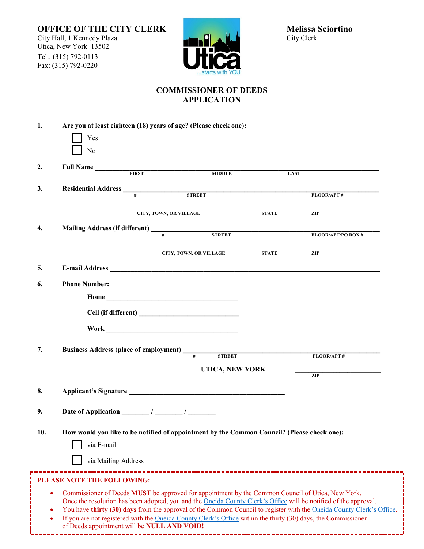f



# **COMMISSIONER OF DEEDS APPLICATION**

| 1.                                                                                                                                                                                                                                                                                                                                                                                                                                                                                                                                     | Are you at least eighteen (18) years of age? (Please check one):<br>Yes<br>No                             |                               |                               |              |                    |
|----------------------------------------------------------------------------------------------------------------------------------------------------------------------------------------------------------------------------------------------------------------------------------------------------------------------------------------------------------------------------------------------------------------------------------------------------------------------------------------------------------------------------------------|-----------------------------------------------------------------------------------------------------------|-------------------------------|-------------------------------|--------------|--------------------|
| 2.                                                                                                                                                                                                                                                                                                                                                                                                                                                                                                                                     | Full Name                                                                                                 |                               | <b>MIDDLE</b>                 | <b>LAST</b>  |                    |
| 3.                                                                                                                                                                                                                                                                                                                                                                                                                                                                                                                                     |                                                                                                           |                               |                               |              | FLOOR/APT#         |
|                                                                                                                                                                                                                                                                                                                                                                                                                                                                                                                                        |                                                                                                           | <b>CITY, TOWN, OR VILLAGE</b> |                               | <b>STATE</b> | ZIP                |
| 4.                                                                                                                                                                                                                                                                                                                                                                                                                                                                                                                                     | Mailing Address (if different)<br><sup>#</sup> STREET                                                     |                               |                               |              | FLOOR/APT/PO BOX # |
|                                                                                                                                                                                                                                                                                                                                                                                                                                                                                                                                        |                                                                                                           |                               | <b>CITY, TOWN, OR VILLAGE</b> | <b>STATE</b> | ZIP                |
| 5.                                                                                                                                                                                                                                                                                                                                                                                                                                                                                                                                     |                                                                                                           |                               |                               |              |                    |
| 6.                                                                                                                                                                                                                                                                                                                                                                                                                                                                                                                                     | <b>Phone Number:</b>                                                                                      |                               |                               |              |                    |
|                                                                                                                                                                                                                                                                                                                                                                                                                                                                                                                                        |                                                                                                           |                               |                               |              |                    |
|                                                                                                                                                                                                                                                                                                                                                                                                                                                                                                                                        |                                                                                                           |                               |                               |              |                    |
|                                                                                                                                                                                                                                                                                                                                                                                                                                                                                                                                        |                                                                                                           |                               |                               |              |                    |
| 7.                                                                                                                                                                                                                                                                                                                                                                                                                                                                                                                                     | Business Address (place of employment) _____                                                              |                               | <b>STREET</b>                 |              | FLOOR/APT#         |
|                                                                                                                                                                                                                                                                                                                                                                                                                                                                                                                                        | UTICA, NEW YORK                                                                                           |                               |                               |              |                    |
| 8.                                                                                                                                                                                                                                                                                                                                                                                                                                                                                                                                     | Applicant's Signature                                                                                     |                               |                               |              | $\overline{ZIP}$   |
| 9.                                                                                                                                                                                                                                                                                                                                                                                                                                                                                                                                     | Date of Application $\frac{\sqrt{2\pi}}{2\pi}$                                                            |                               |                               |              |                    |
| 10.                                                                                                                                                                                                                                                                                                                                                                                                                                                                                                                                    | How would you like to be notified of appointment by the Common Council? (Please check one):<br>via E-mail |                               |                               |              |                    |
|                                                                                                                                                                                                                                                                                                                                                                                                                                                                                                                                        | via Mailing Address                                                                                       |                               |                               |              |                    |
| -----------------------------------<br>PLEASE NOTE THE FOLLOWING:                                                                                                                                                                                                                                                                                                                                                                                                                                                                      |                                                                                                           |                               |                               |              |                    |
| Commissioner of Deeds MUST be approved for appointment by the Common Council of Utica, New York.<br>$\bullet$<br>Once the resolution has been adopted, you and the Oneida County Clerk's Office will be notified of the approval.<br>You have thirty (30) days from the approval of the Common Council to register with the Oneida County Clerk's Office.<br>If you are not registered with the Oneida County Clerk's Office within the thirty (30) days, the Commissioner<br>$\bullet$<br>of Deeds appointment will be NULL AND VOID! |                                                                                                           |                               |                               |              |                    |